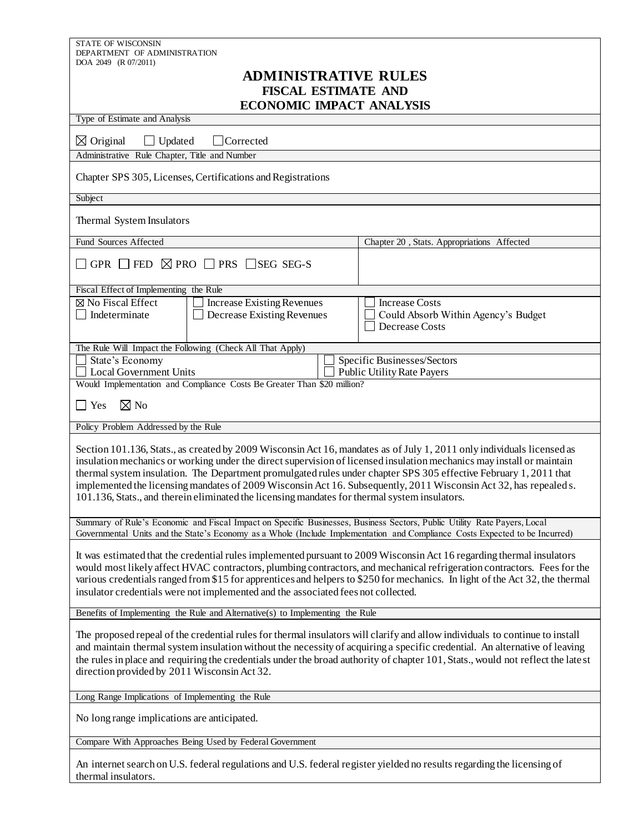| STATE OF WISCONSIN<br>DEPARTMENT OF ADMINISTRATION                                                                                                                                                                                                                                                                                                                                                                                                                                                                                                                                         |                                                                                |  |
|--------------------------------------------------------------------------------------------------------------------------------------------------------------------------------------------------------------------------------------------------------------------------------------------------------------------------------------------------------------------------------------------------------------------------------------------------------------------------------------------------------------------------------------------------------------------------------------------|--------------------------------------------------------------------------------|--|
| DOA 2049 (R 07/2011)                                                                                                                                                                                                                                                                                                                                                                                                                                                                                                                                                                       |                                                                                |  |
| <b>ADMINISTRATIVE RULES</b>                                                                                                                                                                                                                                                                                                                                                                                                                                                                                                                                                                |                                                                                |  |
| <b>FISCAL ESTIMATE AND</b><br><b>ECONOMIC IMPACT ANALYSIS</b>                                                                                                                                                                                                                                                                                                                                                                                                                                                                                                                              |                                                                                |  |
| Type of Estimate and Analysis                                                                                                                                                                                                                                                                                                                                                                                                                                                                                                                                                              |                                                                                |  |
| $\boxtimes$ Original<br>Updated<br>$\perp$ Corrected                                                                                                                                                                                                                                                                                                                                                                                                                                                                                                                                       |                                                                                |  |
| Administrative Rule Chapter, Title and Number                                                                                                                                                                                                                                                                                                                                                                                                                                                                                                                                              |                                                                                |  |
| Chapter SPS 305, Licenses, Certifications and Registrations                                                                                                                                                                                                                                                                                                                                                                                                                                                                                                                                |                                                                                |  |
| Subject                                                                                                                                                                                                                                                                                                                                                                                                                                                                                                                                                                                    |                                                                                |  |
| Thermal System Insulators                                                                                                                                                                                                                                                                                                                                                                                                                                                                                                                                                                  |                                                                                |  |
| <b>Fund Sources Affected</b>                                                                                                                                                                                                                                                                                                                                                                                                                                                                                                                                                               | Chapter 20, Stats. Appropriations Affected                                     |  |
| GPR $\Box$ FED $\boxtimes$ PRO $\Box$ PRS $\Box$ SEG SEG-S                                                                                                                                                                                                                                                                                                                                                                                                                                                                                                                                 |                                                                                |  |
| Fiscal Effect of Implementing the Rule                                                                                                                                                                                                                                                                                                                                                                                                                                                                                                                                                     |                                                                                |  |
| ⊠ No Fiscal Effect<br><b>Increase Existing Revenues</b><br>Indeterminate<br>Decrease Existing Revenues                                                                                                                                                                                                                                                                                                                                                                                                                                                                                     | <b>Increase Costs</b><br>Could Absorb Within Agency's Budget<br>Decrease Costs |  |
| The Rule Will Impact the Following (Check All That Apply)                                                                                                                                                                                                                                                                                                                                                                                                                                                                                                                                  |                                                                                |  |
| State's Economy<br>Local Government Units                                                                                                                                                                                                                                                                                                                                                                                                                                                                                                                                                  | Specific Businesses/Sectors<br><b>Public Utility Rate Payers</b>               |  |
| Would Implementation and Compliance Costs Be Greater Than \$20 million?                                                                                                                                                                                                                                                                                                                                                                                                                                                                                                                    |                                                                                |  |
| $\boxtimes$ No<br>Yes                                                                                                                                                                                                                                                                                                                                                                                                                                                                                                                                                                      |                                                                                |  |
| Policy Problem Addressed by the Rule                                                                                                                                                                                                                                                                                                                                                                                                                                                                                                                                                       |                                                                                |  |
| Section 101.136, Stats., as created by 2009 Wisconsin Act 16, mandates as of July 1, 2011 only individuals licensed as<br>insulation mechanics or working under the direct supervision of licensed insulation mechanics may install or maintain<br>thermal system insulation. The Department promulgated rules under chapter SPS 305 effective February 1, 2011 that<br>implemented the licensing mandates of 2009 Wisconsin Act 16. Subsequently, 2011 Wisconsin Act 32, has repealed s.<br>101.136, Stats., and therein eliminated the licensing mandates for thermal system insulators. |                                                                                |  |
| Summary of Rule's Economic and Fiscal Impact on Specific Businesses, Business Sectors, Public Utility Rate Payers, Local<br>Governmental Units and the State's Economy as a Whole (Include Implementation and Compliance Costs Expected to be Incurred)                                                                                                                                                                                                                                                                                                                                    |                                                                                |  |
| It was estimated that the credential rules implemented pursuant to 2009 Wisconsin Act 16 regarding thermal insulators<br>would most likely affect HVAC contractors, plumbing contractors, and mechanical refrigeration contractors. Fees for the<br>various credentials ranged from \$15 for apprentices and helpers to \$250 for mechanics. In light of the Act 32, the thermal<br>insulator credentials were not implemented and the associated fees not collected.                                                                                                                      |                                                                                |  |
| Benefits of Implementing the Rule and Alternative(s) to Implementing the Rule                                                                                                                                                                                                                                                                                                                                                                                                                                                                                                              |                                                                                |  |
| The proposed repeal of the credential rules for thermal insulators will clarify and allow individuals to continue to install<br>and maintain thermal system insulation without the necessity of acquiring a specific credential. An alternative of leaving<br>the rules in place and requiring the credentials under the broad authority of chapter 101, Stats., would not reflect the late st<br>direction provided by 2011 Wisconsin Act 32.                                                                                                                                             |                                                                                |  |
| Long Range Implications of Implementing the Rule                                                                                                                                                                                                                                                                                                                                                                                                                                                                                                                                           |                                                                                |  |
| No long range implications are anticipated.                                                                                                                                                                                                                                                                                                                                                                                                                                                                                                                                                |                                                                                |  |
| Compare With Approaches Being Used by Federal Government                                                                                                                                                                                                                                                                                                                                                                                                                                                                                                                                   |                                                                                |  |
| An internet search on U.S. federal regulations and U.S. federal register yielded no results regarding the licensing of<br>thermal insulators.                                                                                                                                                                                                                                                                                                                                                                                                                                              |                                                                                |  |